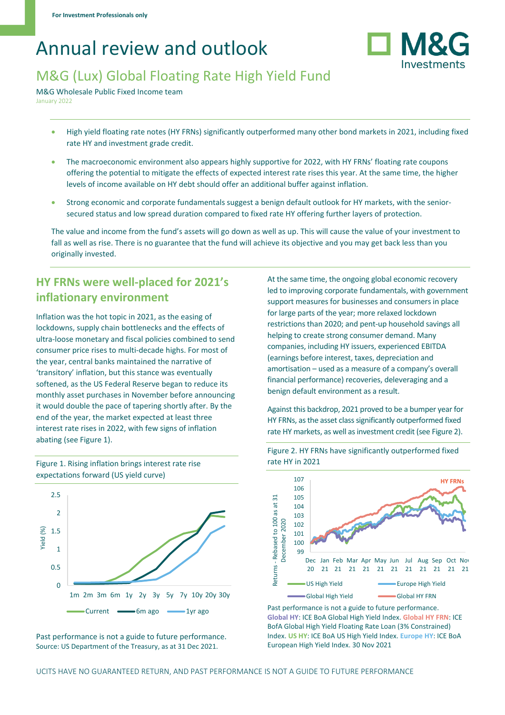# Annual review and outlook



# M&G (Lux) Global Floating Rate High Yield Fund

M&G Wholesale Public Fixed Income team January 2022

- High yield floating rate notes (HY FRNs) significantly outperformed many other bond markets in 2021, including fixed rate HY and investment grade credit.
- The macroeconomic environment also appears highly supportive for 2022, with HY FRNs' floating rate coupons offering the potential to mitigate the effects of expected interest rate rises this year. At the same time, the higher levels of income available on HY debt should offer an additional buffer against inflation.
- Strong economic and corporate fundamentals suggest a benign default outlook for HY markets, with the seniorsecured status and low spread duration compared to fixed rate HY offering further layers of protection.

The value and income from the fund's assets will go down as well as up. This will cause the value of your investment to fall as well as rise. There is no guarantee that the fund will achieve its objective and you may get back less than you originally invested.

## **HY FRNs were well-placed for 2021's inflationary environment**

Inflation was the hot topic in 2021, as the easing of lockdowns, supply chain bottlenecks and the effects of ultra-loose monetary and fiscal policies combined to send consumer price rises to multi-decade highs. For most of the year, central banks maintained the narrative of 'transitory' inflation, but this stance was eventually softened, as the US Federal Reserve began to reduce its monthly asset purchases in November before announcing it would double the pace of tapering shortly after. By the end of the year, the market expected at least three interest rate rises in 2022, with few signs of inflation abating (see Figure 1).



Figure 1. Rising inflation brings interest rate rise expectations forward (US yield curve)

At the same time, the ongoing global economic recovery led to improving corporate fundamentals, with government support measures for businesses and consumers in place for large parts of the year; more relaxed lockdown restrictions than 2020; and pent-up household savings all helping to create strong consumer demand. Many companies, including HY issuers, experienced EBITDA (earnings before interest, taxes, depreciation and amortisation – used as a measure of a company's overall financial performance) recoveries, deleveraging and a benign default environment as a result.

Against this backdrop, 2021 proved to be a bumper year for HY FRNs, as the asset class significantly outperformed fixed rate HY markets, as well as investment credit (see Figure 2).



Figure 2. HY FRNs have significantly outperformed fixed rate HY in 2021

Past performance is not a guide to future performance. **Global HY**: ICE BoA Global High Yield Index. **Global HY FRN**: ICE BofA Global High Yield Floating Rate Loan (3% Constrained) Index. **US HY**: ICE BoA US High Yield Index. **Europe HY**: ICE BoA European High Yield Index. 30 Nov 2021

Past performance is not a guide to future performance. Source: US Department of the Treasury, as at 31 Dec 2021.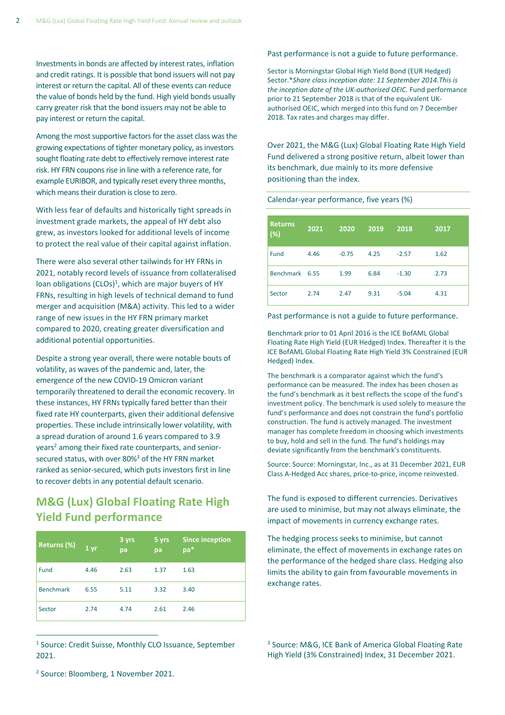Investments in bonds are affected by interest rates, inflation and credit ratings. It is possible that bond issuers will not pay interest or return the capital. All of these events can reduce the value of bonds held by the fund. High yield bonds usually carry greater risk that the bond issuers may not be able to pay interest or return the capital.

Among the most supportive factors for the asset class was the growing expectations of tighter monetary policy, as investors sought floating rate debt to effectively remove interest rate risk. HY FRN coupons rise in line with a reference rate, for example EURIBOR, and typically reset every three months, which means their duration is close to zero.

With less fear of defaults and historically tight spreads in investment grade markets, the appeal of HY debt also grew, as investors looked for additional levels of income to protect the real value of their capital against inflation.

There were also several other tailwinds for HY FRNs in 2021, notably record levels of issuance from collateralised loan obligations (CLOs)<sup>1</sup>, which are major buyers of HY FRNs, resulting in high levels of technical demand to fund merger and acquisition (M&A) activity. This led to a wider range of new issues in the HY FRN primary market compared to 2020, creating greater diversification and additional potential opportunities.

Despite a strong year overall, there were notable bouts of volatility, as waves of the pandemic and, later, the emergence of the new COVID-19 Omicron variant temporarily threatened to derail the economic recovery. In these instances, HY FRNs typically fared better than their fixed rate HY counterparts, given their additional defensive properties. These include intrinsically lower volatility, with a spread duration of around 1.6 years compared to 3.9 years<sup>2</sup> among their fixed rate counterparts, and seniorsecured status, with over 80%<sup>3</sup> of the HY FRN market ranked as senior-secured, which puts investors first in line to recover debts in any potential default scenario.

## **M&G (Lux) Global Floating Rate High Yield Fund performance**

| Returns (%)      | 1 <sub>yr</sub> | 3 yrs<br>pa | 5 yrs<br>pa | <b>Since inception</b><br>pa* |
|------------------|-----------------|-------------|-------------|-------------------------------|
| Fund             | 4.46            | 2.63        | 1.37        | 1.63                          |
| <b>Benchmark</b> | 6.55            | 5.11        | 3.32        | 3.40                          |
| Sector           | 2.74            | 4.74        | 2.61        | 2.46                          |

<sup>1</sup> Source: Credit Suisse, Monthly CLO Issuance, September 2021.

#### Past performance is not a guide to future performance.

Sector is Morningstar Global High Yield Bond (EUR Hedged) Sector.\**Share class inception date: 11 September 2014.This is the inception date of the UK-authorised OEIC.* Fund performance prior to 21 September 2018 is that of the equivalent UKauthorised OEIC, which merged into this fund on 7 December 2018. Tax rates and charges may differ.

Over 2021, the M&G (Lux) Global Floating Rate High Yield Fund delivered a strong positive return, albeit lower than its benchmark, due mainly to its more defensive positioning than the index.

Calendar-year performance, five years (%)

| <b>Returns</b><br>$(\%)$ | 2021 | 2020    | 2019 | 2018    | 2017 |
|--------------------------|------|---------|------|---------|------|
| Fund                     | 4.46 | $-0.75$ | 4.25 | $-2.57$ | 1.62 |
| Benchmark 6.55           |      | 1.99    | 6.84 | $-1.30$ | 2.73 |
| Sector                   | 2.74 | 2.47    | 9.31 | $-5.04$ | 4.31 |

Past performance is not a guide to future performance.

Benchmark prior to 01 April 2016 is the ICE BofAML Global Floating Rate High Yield (EUR Hedged) Index. Thereafter it is the ICE BofAML Global Floating Rate High Yield 3% Constrained (EUR Hedged) Index.

The benchmark is a comparator against which the fund's performance can be measured. The index has been chosen as the fund's benchmark as it best reflects the scope of the fund's investment policy. The benchmark is used solely to measure the fund's performance and does not constrain the fund's portfolio construction. The fund is actively managed. The investment manager has complete freedom in choosing which investments to buy, hold and sell in the fund. The fund's holdings may deviate significantly from the benchmark's constituents.

Source: Source: Morningstar, Inc., as at 31 December 2021, EUR Class A-Hedged Acc shares, price-to-price, income reinvested.

The fund is exposed to different currencies. Derivatives are used to minimise, but may not always eliminate, the impact of movements in currency exchange rates.

The hedging process seeks to minimise, but cannot eliminate, the effect of movements in exchange rates on the performance of the hedged share class. Hedging also limits the ability to gain from favourable movements in exchange rates.

<sup>3</sup> Source: M&G, ICE Bank of America Global Floating Rate High Yield (3% Constrained) Index, 31 December 2021.

2 Source: Bloomberg, 1 November 2021.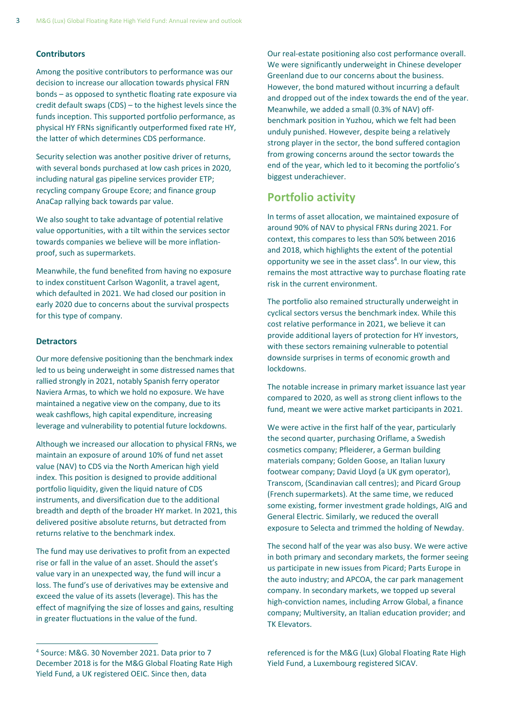#### **Contributors**

Among the positive contributors to performance was our decision to increase our allocation towards physical FRN bonds – as opposed to synthetic floating rate exposure via credit default swaps (CDS) – to the highest levels since the funds inception. This supported portfolio performance, as physical HY FRNs significantly outperformed fixed rate HY, the latter of which determines CDS performance.

Security selection was another positive driver of returns, with several bonds purchased at low cash prices in 2020, including natural gas pipeline services provider ETP; recycling company Groupe Ecore; and finance group AnaCap rallying back towards par value.

We also sought to take advantage of potential relative value opportunities, with a tilt within the services sector towards companies we believe will be more inflationproof, such as supermarkets.

Meanwhile, the fund benefited from having no exposure to index constituent Carlson Wagonlit, a travel agent, which defaulted in 2021. We had closed our position in early 2020 due to concerns about the survival prospects for this type of company.

#### **Detractors**

Our more defensive positioning than the benchmark index led to us being underweight in some distressed names that rallied strongly in 2021, notably Spanish ferry operator Naviera Armas, to which we hold no exposure. We have maintained a negative view on the company, due to its weak cashflows, high capital expenditure, increasing leverage and vulnerability to potential future lockdowns.

Although we increased our allocation to physical FRNs, we maintain an exposure of around 10% of fund net asset value (NAV) to CDS via the North American high yield index. This position is designed to provide additional portfolio liquidity, given the liquid nature of CDS instruments, and diversification due to the additional breadth and depth of the broader HY market. In 2021, this delivered positive absolute returns, but detracted from returns relative to the benchmark index.

The fund may use derivatives to profit from an expected rise or fall in the value of an asset. Should the asset's value vary in an unexpected way, the fund will incur a loss. The fund's use of derivatives may be extensive and exceed the value of its assets (leverage). This has the effect of magnifying the size of losses and gains, resulting in greater fluctuations in the value of the fund.

Our real-estate positioning also cost performance overall. We were significantly underweight in Chinese developer Greenland due to our concerns about the business. However, the bond matured without incurring a default and dropped out of the index towards the end of the year. Meanwhile, we added a small (0.3% of NAV) offbenchmark position in Yuzhou, which we felt had been unduly punished. However, despite being a relatively strong player in the sector, the bond suffered contagion from growing concerns around the sector towards the end of the year, which led to it becoming the portfolio's biggest underachiever.

### **Portfolio activity**

In terms of asset allocation, we maintained exposure of around 90% of NAV to physical FRNs during 2021. For context, this compares to less than 50% between 2016 and 2018, which highlights the extent of the potential opportunity we see in the asset class<sup>4</sup>. In our view, this remains the most attractive way to purchase floating rate risk in the current environment.

The portfolio also remained structurally underweight in cyclical sectors versus the benchmark index. While this cost relative performance in 2021, we believe it can provide additional layers of protection for HY investors, with these sectors remaining vulnerable to potential downside surprises in terms of economic growth and lockdowns.

The notable increase in primary market issuance last year compared to 2020, as well as strong client inflows to the fund, meant we were active market participants in 2021.

We were active in the first half of the year, particularly the second quarter, purchasing Oriflame, a Swedish cosmetics company; Pfleiderer, a German building materials company; Golden Goose, an Italian luxury footwear company; David Lloyd (a UK gym operator), Transcom, (Scandinavian call centres); and Picard Group (French supermarkets). At the same time, we reduced some existing, former investment grade holdings, AIG and General Electric. Similarly, we reduced the overall exposure to Selecta and trimmed the holding of Newday.

The second half of the year was also busy. We were active in both primary and secondary markets, the former seeing us participate in new issues from Picard; Parts Europe in the auto industry; and APCOA, the car park management company. In secondary markets, we topped up several high-conviction names, including Arrow Global, a finance company; Multiversity, an Italian education provider; and TK Elevators.

referenced is for the M&G (Lux) Global Floating Rate High Yield Fund, a Luxembourg registered SICAV.

<sup>4</sup> Source: M&G. 30 November 2021. Data prior to 7 December 2018 is for the M&G Global Floating Rate High Yield Fund, a UK registered OEIC. Since then, data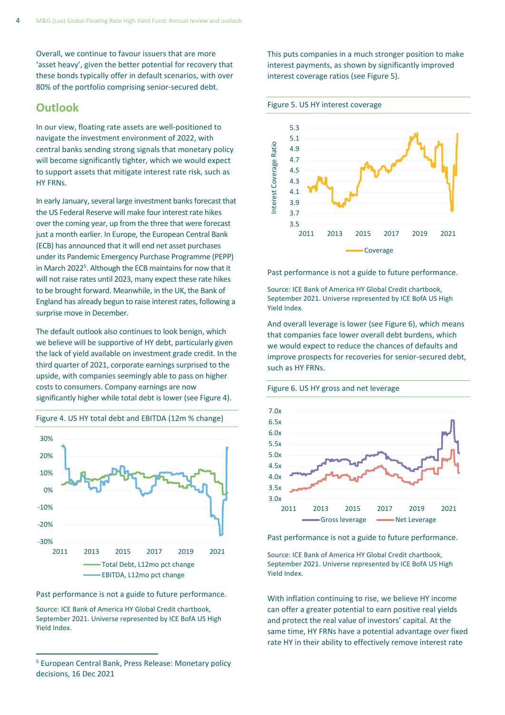Overall, we continue to favour issuers that are more 'asset heavy', given the better potential for recovery that these bonds typically offer in default scenarios, with over 80% of the portfolio comprising senior-secured debt.

### **Outlook**

In our view, floating rate assets are well-positioned to navigate the investment environment of 2022, with central banks sending strong signals that monetary policy will become significantly tighter, which we would expect to support assets that mitigate interest rate risk, such as HY FRNs.

In early January, several large investment banks forecast that the US Federal Reserve will make four interest rate hikes over the coming year, up from the three that were forecast just a month earlier. In Europe, the European Central Bank (ECB) has announced that it will end net asset purchases under its Pandemic Emergency Purchase Programme (PEPP) in March 2022<sup>5</sup>. Although the ECB maintains for now that it will not raise rates until 2023, many expect these rate hikes to be brought forward. Meanwhile, in the UK, the Bank of England has already begun to raise interest rates, following a surprise move in December.

The default outlook also continues to look benign, which we believe will be supportive of HY debt, particularly given the lack of yield available on investment grade credit. In the third quarter of 2021, corporate earnings surprised to the upside, with companies seemingly able to pass on higher costs to consumers. Company earnings are now significantly higher while total debt is lower (see Figure 4).



Figure 4. US HY total debt and EBITDA (12m % change)

Past performance is not a guide to future performance.

Source: ICE Bank of America HY Global Credit chartbook, September 2021. Universe represented by ICE BofA US High Yield Index.

This puts companies in a much stronger position to make interest payments, as shown by significantly improved interest coverage ratios (see Figure 5).





Past performance is not a guide to future performance.

Source: ICE Bank of America HY Global Credit chartbook, September 2021. Universe represented by ICE BofA US High Yield Index.

And overall leverage is lower (see Figure 6), which means that companies face lower overall debt burdens, which we would expect to reduce the chances of defaults and improve prospects for recoveries for senior-secured debt, such as HY FRNs.





Past performance is not a guide to future performance.

Source: ICE Bank of America HY Global Credit chartbook, September 2021. Universe represented by ICE BofA US High Yield Index.

With inflation continuing to rise, we believe HY income can offer a greater potential to earn positive real yields and protect the real value of investors' capital. At the same time, HY FRNs have a potential advantage over fixed rate HY in their ability to effectively remove interest rate

<sup>5</sup> European Central Bank, Press Release: Monetary policy decisions, 16 Dec 2021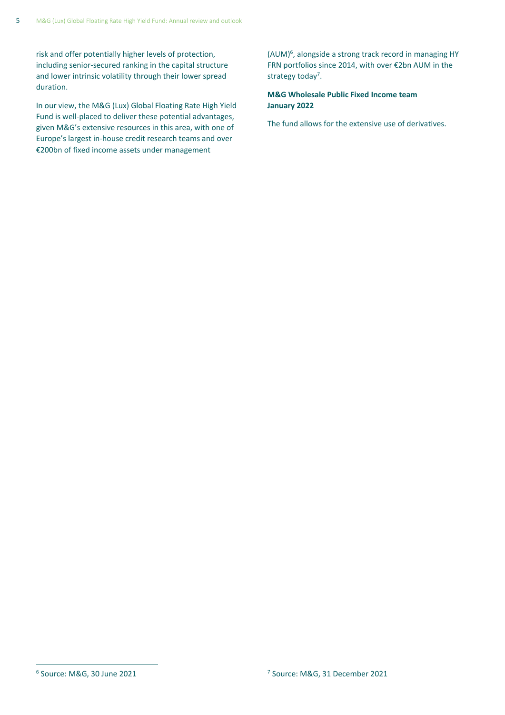risk and offer potentially higher levels of protection, including senior-secured ranking in the capital structure and lower intrinsic volatility through their lower spread duration.

In our view, the M&G (Lux) Global Floating Rate High Yield Fund is well-placed to deliver these potential advantages, given M&G's extensive resources in this area, with one of Europe's largest in-house credit research teams and over €200bn of fixed income assets under management

(AUM)<sup>6</sup> , alongside a strong track record in managing HY FRN portfolios since 2014, with over €2bn AUM in the strategy today<sup>7</sup>.

**M&G Wholesale Public Fixed Income team January 2022**

The fund allows for the extensive use of derivatives.

 $6$  Source: M&G, 30 June 2021  $10^{7}$ 

<sup>&</sup>lt;sup>7</sup> Source: M&G, 31 December 2021